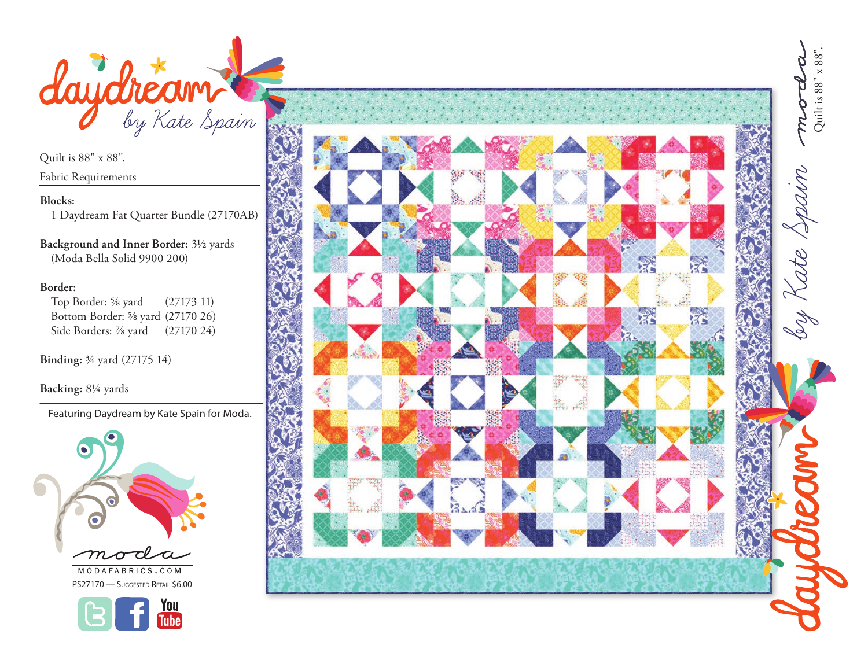

Quilt is 88" x 88".

Fabric Requirements

#### **Blocks:**

1 Daydream Fat Quarter Bundle (27170AB)

**Background and Inner Border:** 31/2 yards (Moda Bella Solid 9900 200)

### **Border:**

Top Border: 5/8 yard (27173 11) Bottom Border: 5/8 yard (27170 26) Side Borders: 7% yard (27170 24)

**Binding:** 3/4 yard (27175 14)

# **Backing:** 81/4 yards

Featuring Daydream by Kate Spain for Moda.



PS27170 - Suggested Retail \$6.00



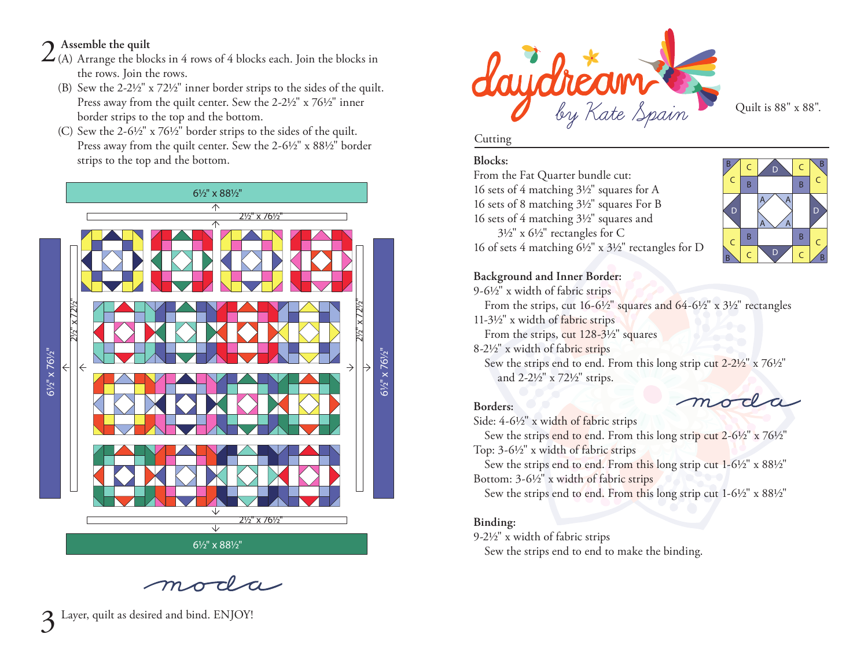- 2 **Assemble the quilt** (A) Arrange the blocks in 4 rows of 4 blocks each. Join the blocks in the rows. Join the rows.
	- (B) Sew the 2-2½" x 72½" inner border strips to the sides of the quilt. Press away from the quilt center. Sew the 2-2½" x 76½" inner border strips to the top and the bottom.
	- (C) Sew the 2-6½" x 76½" border strips to the sides of the quilt. Press away from the quilt center. Sew the 2-6½" x 88½" border strips to the top and the bottom.



day dréam

Quilt is 88" x 88".

#### **Cutting**

# **Blocks:**

From the Fat Quarter bundle cut: 16 sets of 4 matching 31/2" squares for A 16 sets of 8 matching 31/2" squares For B 16 sets of 4 matching 31/2" squares and  $3\frac{1}{2}$ " x  $6\frac{1}{2}$ " rectangles for C 16 of sets 4 matching  $6\frac{1}{2}$ " x  $3\frac{1}{2}$ " rectangles for D



# **Background and Inner Border:**

9-61/2" x width of fabric strips

From the strips, cut  $16-6\frac{1}{2}$ " squares and  $64-6\frac{1}{2}$ " x  $3\frac{1}{2}$ " rectangles

11-31/2" x width of fabric strips

From the strips, cut 128-3½" squares

8-21/2" x width of fabric strips

Sew the strips end to end. From this long strip cut 2-21/2" x 761/2" and 2-21/2" x 721/2" strips.

# **Borders:**

Side: 4-61/2" x width of fabric strips

Sew the strips end to end. From this long strip cut  $2-6\frac{1}{2}$ " x  $76\frac{1}{2}$ " Top: 3-61/2" x width of fabric strips

Sew the strips end to end. From this long strip cut 1-6½" x 88½" Bottom: 3-61/2" x width of fabric strips

Sew the strips end to end. From this long strip cut  $1-6\frac{1}{2}$ " x  $88\frac{1}{2}$ "

# **Binding:**

9-21/2" x width of fabric strips

Sew the strips end to end to make the binding.